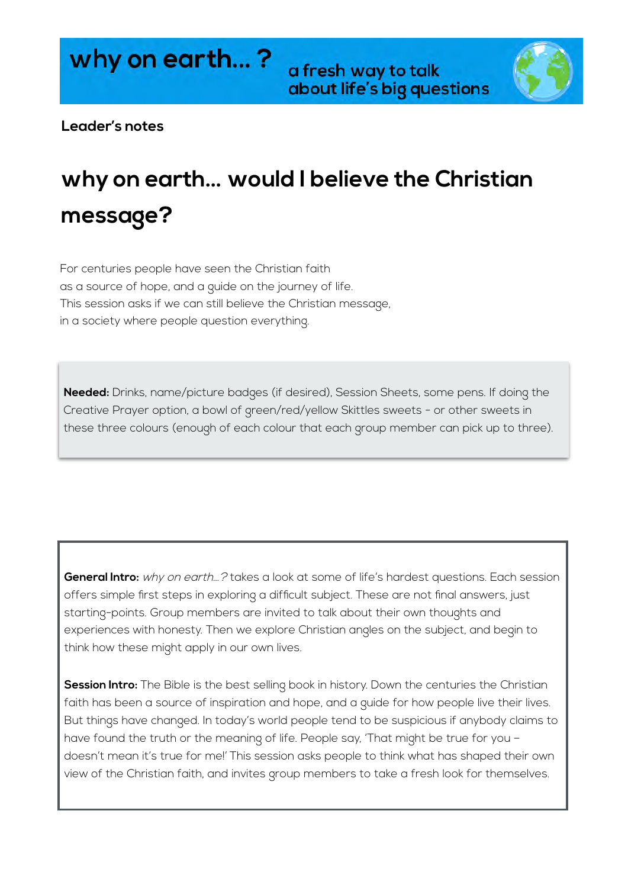a fresh way to talk about life's big questions



## **Leader's notes**

# **why on earth… would I believe the Christian message?**

For centuries people have seen the Christian faith as a source of hope, and a guide on the journey of life. This session asks if we can still believe the Christian message, in a society where people question everything.

**Needed:** Drinks, name/picture badges (if desired), Session Sheets, some pens. If doing the Creative Prayer option, a bowl of green/red/yellow Skittles sweets - or other sweets in these three colours (enough of each colour that each group member can pick up to three).

**General Intro:** why on earth…? takes a look at some of life's hardest questions. Each session offers simple first steps in exploring a difficult subject. These are not final answers, just starting-points. Group members are invited to talk about their own thoughts and experiences with honesty. Then we explore Christian angles on the subject, and begin to think how these might apply in our own lives.

**Session Intro:** The Bible is the best selling book in history. Down the centuries the Christian faith has been a source of inspiration and hope, and a guide for how people live their lives. But things have changed. In today's world people tend to be suspicious if anybody claims to have found the truth or the meaning of life. People say, 'That might be true for you doesn't mean it's true for me!' This session asks people to think what has shaped their own view of the Christian faith, and invites group members to take a fresh look for themselves.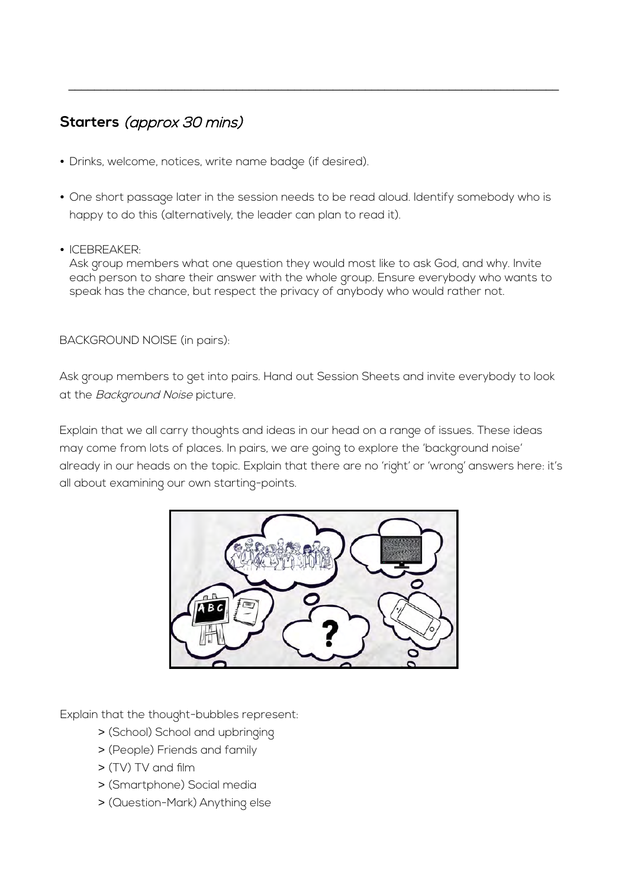# **Starters** (approx 30 mins)

- Drinks, welcome, notices, write name badge (if desired).
- One short passage later in the session needs to be read aloud. Identify somebody who is happy to do this (alternatively, the leader can plan to read it).

\_\_\_\_\_\_\_\_\_\_\_\_\_\_\_\_\_\_\_\_\_\_\_\_\_\_\_\_\_\_\_\_\_\_\_\_\_\_\_\_\_\_\_\_\_\_\_\_\_\_\_\_\_\_\_\_\_\_\_\_\_\_\_\_\_\_\_\_\_\_\_\_\_\_\_\_

• ICEBREAKER:

Ask group members what one question they would most like to ask God, and why. Invite each person to share their answer with the whole group. Ensure everybody who wants to speak has the chance, but respect the privacy of anybody who would rather not.

BACKGROUND NOISE (in pairs):

Ask group members to get into pairs. Hand out Session Sheets and invite everybody to look at the Background Noise picture.

Explain that we all carry thoughts and ideas in our head on a range of issues. These ideas may come from lots of places. In pairs, we are going to explore the 'background noise' already in our heads on the topic. Explain that there are no 'right' or 'wrong' answers here: it's all about examining our own starting-points.



Explain that the thought-bubbles represent:

- > (School) School and upbringing
- > (People) Friends and family
- > (TV) TV and film
- > (Smartphone) Social media
- > (Question-Mark) Anything else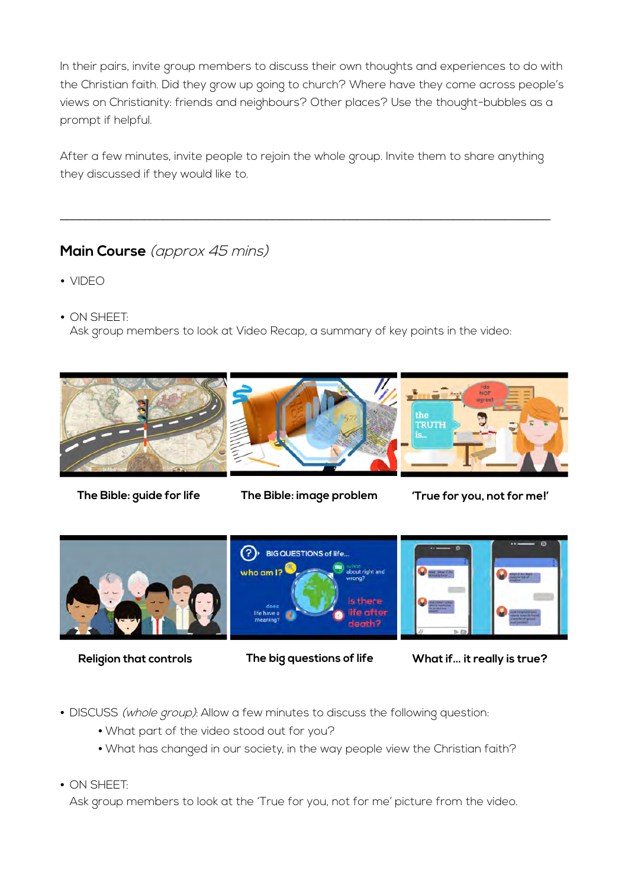In their pairs, invite group members to discuss their own thoughts and experiences to do with the Christian faith. Did they grow up going to church? Where have they come across people's views on Christianity: friends and neighbours? Other places? Use the thought-bubbles as a prompt if helpful.

After a few minutes, invite people to rejoin the whole group. Invite them to share anything they discussed if they would like to.

\_\_\_\_\_\_\_\_\_\_\_\_\_\_\_\_\_\_\_\_\_\_\_\_\_\_\_\_\_\_\_\_\_\_\_\_\_\_\_\_\_\_\_\_\_\_\_\_\_\_\_\_\_\_\_\_\_\_\_\_\_\_\_\_\_\_\_\_\_\_\_\_\_\_\_\_

# **Main Course** (approx 45 mins)

- VIDEO
- ON SHEET:

Ask group members to look at Video Recap, a summary of key points in the video:



**The Bible: guide for life The Bible: image problem 'True for you, not for me!'**



**Religion that controls The big questions of life What if… it really is true?**

- DISCUSS (whole group): Allow a few minutes to discuss the following question:
	- What part of the video stood out for you?
	- What has changed in our society, in the way people view the Christian faith?
- ON SHEET:

Ask group members to look at the 'True for you, not for me' picture from the video.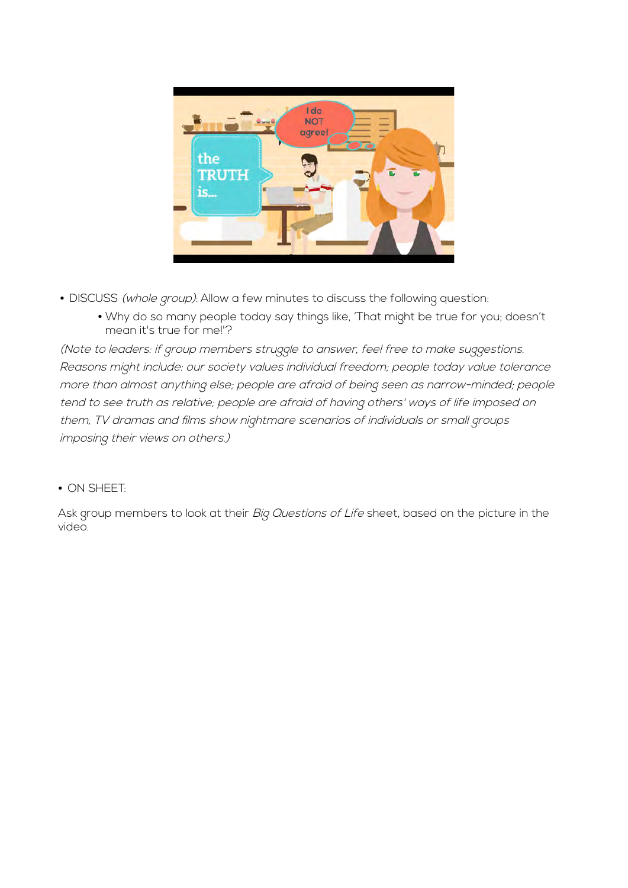

- DISCUSS (whole group): Allow a few minutes to discuss the following question:
	- Why do so many people today say things like, 'That might be true for you; doesn't mean it's true for me!'?

(Note to leaders: if group members struggle to answer, feel free to make suggestions. Reasons might include: our society values individual freedom; people today value tolerance more than almost anything else; people are afraid of being seen as narrow-minded; people tend to see truth as relative; people are afraid of having others' ways of life imposed on them, TV dramas and films show nightmare scenarios of individuals or small groups imposing their views on others.)

#### • ON SHEET:

Ask group members to look at their Big Questions of Life sheet, based on the picture in the video.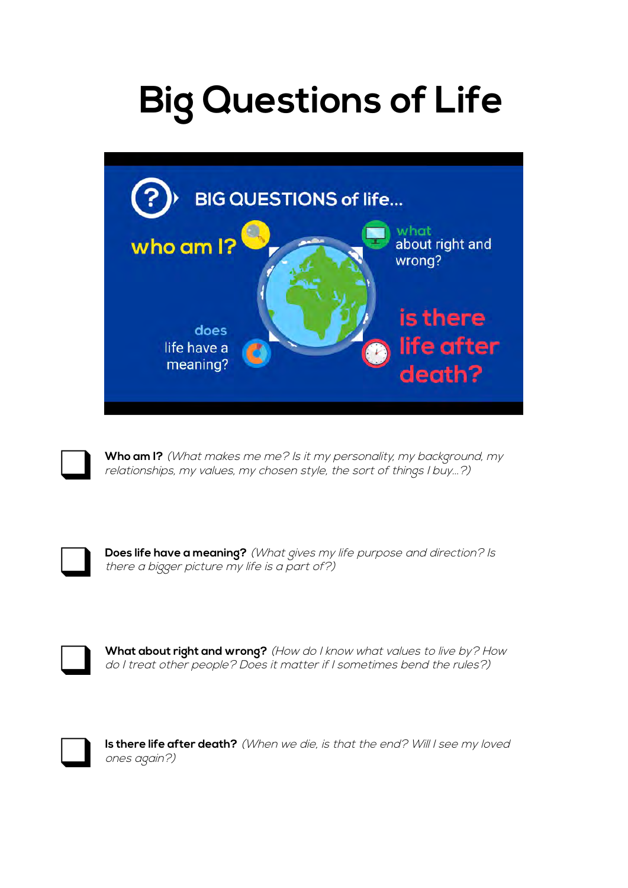# **Big Questions of Life**



Who am I? (What makes me me? Is it my personality, my background, my relationships, my values, my chosen style, the sort of things I buy...?)

❑ **Does life have a meaning?** (What gives my life purpose and direction? Is there a bigger picture my life is a part of?)

What about right and wrong? (How do I know what values to live by? How do I treat other people? Does it matter if I sometimes bend the rules?)



Is there life after death? (When we die, is that the end? Will I see my loved ones again?)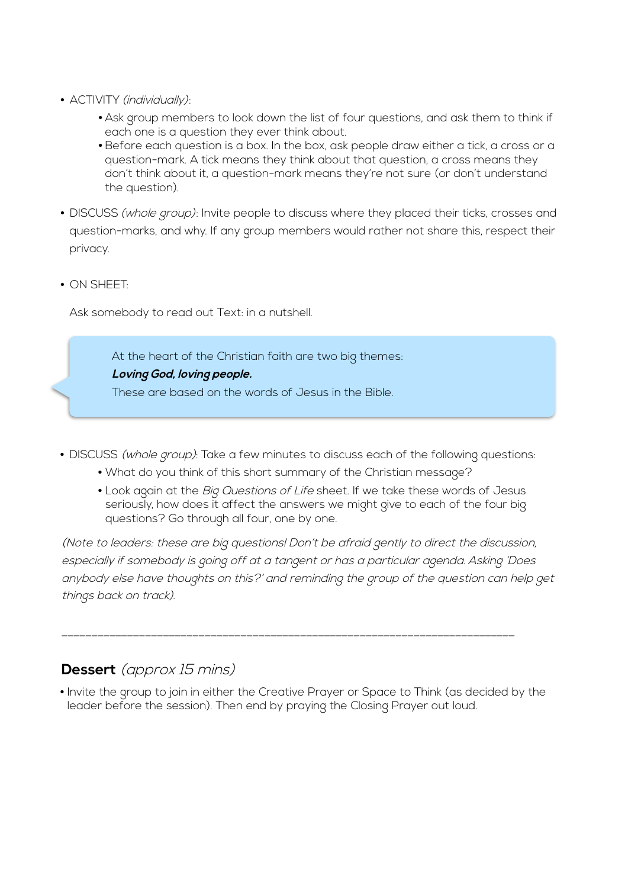- ACTIVITY (individually):
	- Ask group members to look down the list of four questions, and ask them to think if each one is a question they ever think about.
	- Before each question is a box. In the box, ask people draw either a tick, a cross or a question-mark. A tick means they think about that question, a cross means they don't think about it, a question-mark means they're not sure (or don't understand the question).
- DISCUSS (whole group): Invite people to discuss where they placed their ticks, crosses and question-marks, and why. If any group members would rather not share this, respect their privacy.
- ON SHEET:

Ask somebody to read out Text: in a nutshell.

At the heart of the Christian faith are two big themes: **Loving God, loving people.** These are based on the words of Jesus in the Bible.

- DISCUSS (whole group): Take a few minutes to discuss each of the following questions:
	- What do you think of this short summary of the Christian message?
	- Look again at the Big Questions of Life sheet. If we take these words of Jesus seriously, how does it affect the answers we might give to each of the four big questions? Go through all four, one by one.

(Note to leaders: these are big questions! Don't be afraid gently to direct the discussion, especially if somebody is going off at a tangent or has a particular agenda. Asking 'Does anybody else have thoughts on this?' and reminding the group of the question can help get things back on track).

# **Dessert** (approx 15 mins)

• Invite the group to join in either the Creative Prayer or Space to Think (as decided by the leader before the session). Then end by praying the Closing Prayer out loud.

\_\_\_\_\_\_\_\_\_\_\_\_\_\_\_\_\_\_\_\_\_\_\_\_\_\_\_\_\_\_\_\_\_\_\_\_\_\_\_\_\_\_\_\_\_\_\_\_\_\_\_\_\_\_\_\_\_\_\_\_\_\_\_\_\_\_\_\_\_\_\_\_\_\_\_\_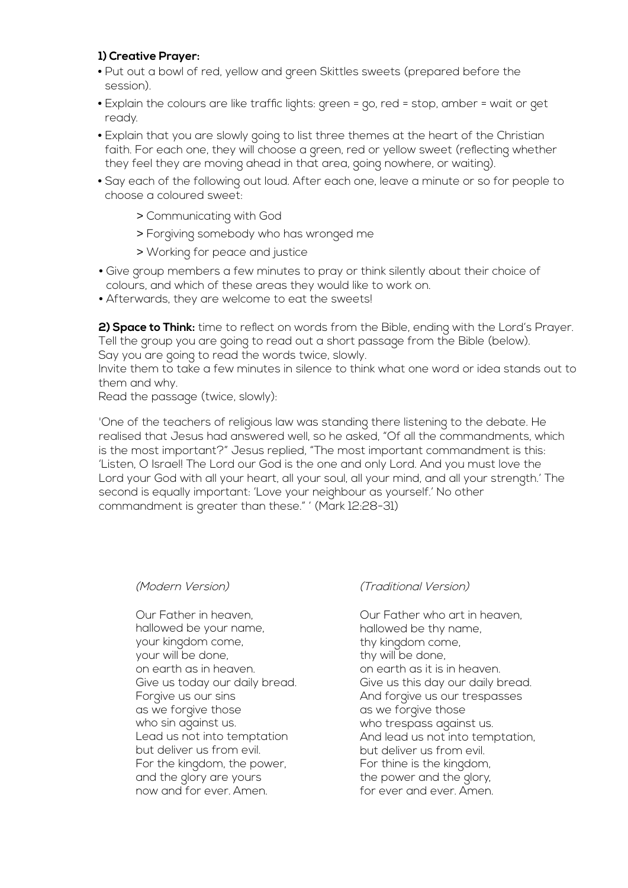#### **1) Creative Prayer:**

- Put out a bowl of red, yellow and green Skittles sweets (prepared before the session).
- Explain the colours are like traffic lights: green = go, red = stop, amber = wait or get ready.
- Explain that you are slowly going to list three themes at the heart of the Christian faith. For each one, they will choose a green, red or yellow sweet (reflecting whether they feel they are moving ahead in that area, going nowhere, or waiting).
- Say each of the following out loud. After each one, leave a minute or so for people to choose a coloured sweet:
	- > Communicating with God
	- > Forgiving somebody who has wronged me
	- > Working for peace and justice
- Give group members a few minutes to pray or think silently about their choice of colours, and which of these areas they would like to work on.
- Afterwards, they are welcome to eat the sweets!

**2) Space to Think:** time to reflect on words from the Bible, ending with the Lord's Prayer. Tell the group you are going to read out a short passage from the Bible (below). Say you are going to read the words twice, slowly.

Invite them to take a few minutes in silence to think what one word or idea stands out to them and why.

Read the passage (twice, slowly):

'One of the teachers of religious law was standing there listening to the debate. He realised that Jesus had answered well, so he asked, "Of all the commandments, which is the most important?" Jesus replied, "The most important commandment is this: 'Listen, O Israel! The Lord our God is the one and only Lord. And you must love the Lord your God with all your heart, all your soul, all your mind, and all your strength.' The second is equally important: 'Love your neighbour as yourself.' No other commandment is greater than these." ' (Mark 12:28-31)

#### (Modern Version)

Our Father in heaven, hallowed be your name, your kingdom come, your will be done, on earth as in heaven. Give us today our daily bread. Forgive us our sins as we forgive those who sin against us. Lead us not into temptation but deliver us from evil. For the kingdom, the power, and the glory are yours now and for ever. Amen.

#### (Traditional Version)

Our Father who art in heaven, hallowed be thy name, thy kingdom come, thy will be done, on earth as it is in heaven. Give us this day our daily bread. And forgive us our trespasses as we forgive those who trespass against us. And lead us not into temptation, but deliver us from evil. For thine is the kingdom, the power and the glory, for ever and ever. Amen.